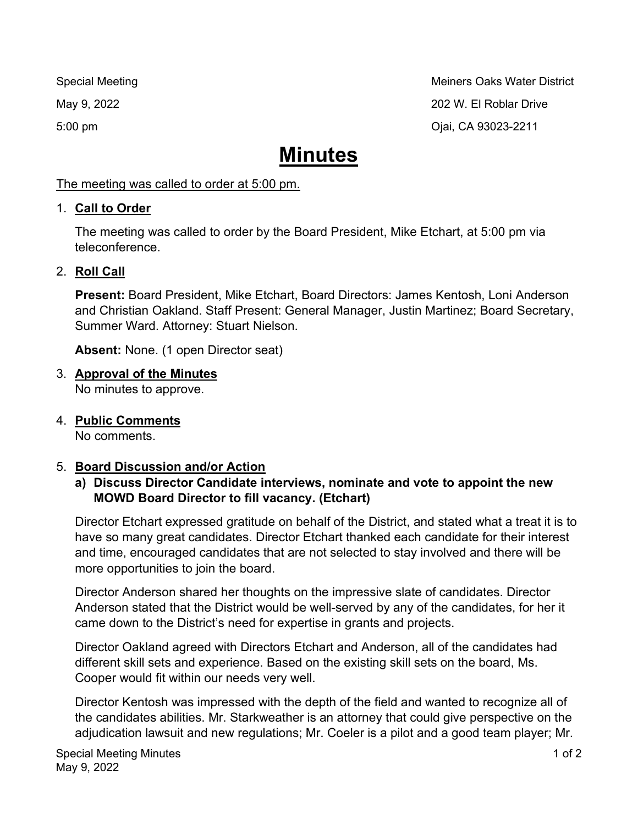Special Meeting Methods and Methods and Meiners Oaks Water District May 9, 2022 202 W. El Roblar Drive 5:00 pm Ojai, CA 93023-2211

# **Minutes**

#### The meeting was called to order at 5:00 pm.

## 1. **Call to Order**

The meeting was called to order by the Board President, Mike Etchart, at 5:00 pm via teleconference.

## 2. **Roll Call**

**Present:** Board President, Mike Etchart, Board Directors: James Kentosh, Loni Anderson and Christian Oakland. Staff Present: General Manager, Justin Martinez; Board Secretary, Summer Ward. Attorney: Stuart Nielson.

**Absent:** None. (1 open Director seat)

## 3. **Approval of the Minutes**

No minutes to approve.

4. **Public Comments** No comments.

## 5. **Board Discussion and/or Action**

#### **a) Discuss Director Candidate interviews, nominate and vote to appoint the new MOWD Board Director to fill vacancy. (Etchart)**

Director Etchart expressed gratitude on behalf of the District, and stated what a treat it is to have so many great candidates. Director Etchart thanked each candidate for their interest and time, encouraged candidates that are not selected to stay involved and there will be more opportunities to join the board.

Director Anderson shared her thoughts on the impressive slate of candidates. Director Anderson stated that the District would be well-served by any of the candidates, for her it came down to the District's need for expertise in grants and projects.

Director Oakland agreed with Directors Etchart and Anderson, all of the candidates had different skill sets and experience. Based on the existing skill sets on the board, Ms. Cooper would fit within our needs very well.

Director Kentosh was impressed with the depth of the field and wanted to recognize all of the candidates abilities. Mr. Starkweather is an attorney that could give perspective on the adjudication lawsuit and new regulations; Mr. Coeler is a pilot and a good team player; Mr.